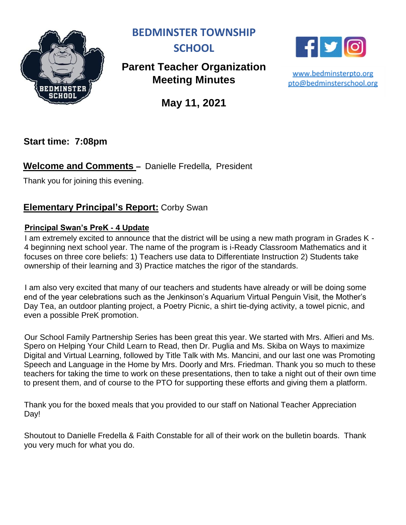

**BEDMINSTER TOWNSHIP** 



# **Parent Teacher Organization Meeting Minutes**



www.bedminsterpto.org pto@bedminsterschool.org

**May 11, 2021**

**Start time: 7:08pm**

# **Welcome and Comments –** Danielle Fredella, President

Thank you for joining this evening.

### **Elementary Principal's Report:** Corby Swan

#### **Principal Swan's PreK - 4 Update**

I am extremely excited to announce that the district will be using a new math program in Grades K - 4 beginning next school year. The name of the program is i-Ready Classroom Mathematics and it focuses on three core beliefs: 1) Teachers use data to Differentiate Instruction 2) Students take ownership of their learning and 3) Practice matches the rigor of the standards.

I am also very excited that many of our teachers and students have already or will be doing some end of the year celebrations such as the Jenkinson's Aquarium Virtual Penguin Visit, the Mother's Day Tea, an outdoor planting project, a Poetry Picnic, a shirt tie-dying activity, a towel picnic, and even a possible PreK promotion.

Our School Family Partnership Series has been great this year. We started with Mrs. Alfieri and Ms. Spero on Helping Your Child Learn to Read, then Dr. Puglia and Ms. Skiba on Ways to maximize Digital and Virtual Learning, followed by Title Talk with Ms. Mancini, and our last one was Promoting Speech and Language in the Home by Mrs. Doorly and Mrs. Friedman. Thank you so much to these teachers for taking the time to work on these presentations, then to take a night out of their own time to present them, and of course to the PTO for supporting these efforts and giving them a platform.

Thank you for the boxed meals that you provided to our staff on National Teacher Appreciation Day!

Shoutout to Danielle Fredella & Faith Constable for all of their work on the bulletin boards. Thank you very much for what you do.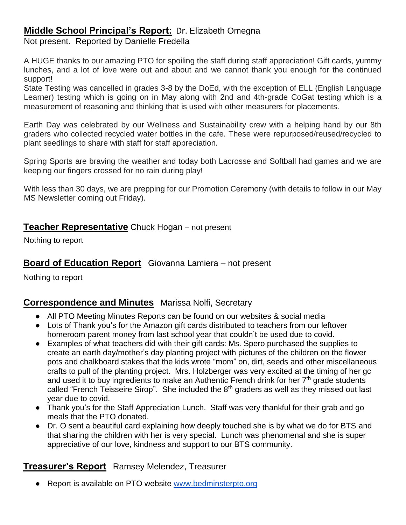# **Middle School Principal's Report:** Dr. Elizabeth Omegna

Not present. Reported by Danielle Fredella

A HUGE thanks to our amazing PTO for spoiling the staff during staff appreciation! Gift cards, yummy lunches, and a lot of love were out and about and we cannot thank you enough for the continued support!

State Testing was cancelled in grades 3-8 by the DoEd, with the exception of ELL (English Language Learner) testing which is going on in May along with 2nd and 4th-grade CoGat testing which is a measurement of reasoning and thinking that is used with other measurers for placements.

Earth Day was celebrated by our Wellness and Sustainability crew with a helping hand by our 8th graders who collected recycled water bottles in the cafe. These were repurposed/reused/recycled to plant seedlings to share with staff for staff appreciation.

Spring Sports are braving the weather and today both Lacrosse and Softball had games and we are keeping our fingers crossed for no rain during play!

With less than 30 days, we are prepping for our Promotion Ceremony (with details to follow in our May MS Newsletter coming out Friday).

#### **Teacher Representative** Chuck Hogan – not present

Nothing to report

### **Board of Education Report** Giovanna Lamiera – not present

Nothing to report

#### **Correspondence and Minutes** Marissa Nolfi, Secretary

- All PTO Meeting Minutes Reports can be found on our websites & social media
- Lots of Thank you's for the Amazon gift cards distributed to teachers from our leftover homeroom parent money from last school year that couldn't be used due to covid.
- Examples of what teachers did with their gift cards: Ms. Spero purchased the supplies to create an earth day/mother's day planting project with pictures of the children on the flower pots and chalkboard stakes that the kids wrote "mom" on, dirt, seeds and other miscellaneous crafts to pull of the planting project. Mrs. Holzberger was very excited at the timing of her gc and used it to buy ingredients to make an Authentic French drink for her 7<sup>th</sup> grade students called "French Teisseire Sirop". She included the 8<sup>th</sup> graders as well as they missed out last year due to covid.
- Thank you's for the Staff Appreciation Lunch. Staff was very thankful for their grab and go meals that the PTO donated.
- Dr. O sent a beautiful card explaining how deeply touched she is by what we do for BTS and that sharing the children with her is very special. Lunch was phenomenal and she is super appreciative of our love, kindness and support to our BTS community.

### **Treasurer's Report** Ramsey Melendez, Treasurer

● Report is available on PTO website [www.bedminsterpto.org](http://www.bedminsterpto.org/)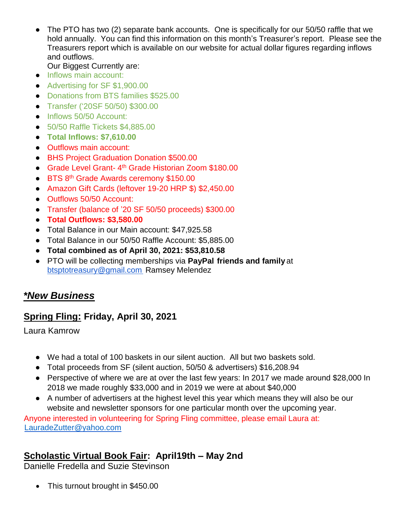- The PTO has two (2) separate bank accounts. One is specifically for our 50/50 raffle that we hold annually. You can find this information on this month's Treasurer's report. Please see the Treasurers report which is available on our website for actual dollar figures regarding inflows and outflows.
	- Our Biggest Currently are:
- Inflows main account:
- Advertising for SF \$1,900.00
- Donations from BTS families \$525.00
- Transfer ('20SF 50/50) \$300.00
- Inflows 50/50 Account:
- 50/50 Raffle Tickets \$4,885.00
- **Total Inflows: \$7,610.00**
- Outflows main account:
- BHS Project Graduation Donation \$500.00
- Grade Level Grant- 4 th Grade Historian Zoom \$180.00
- BTS 8<sup>th</sup> Grade Awards ceremony \$150.00
- Amazon Gift Cards (leftover 19-20 HRP \$) \$2,450.00
- Outflows 50/50 Account:
- Transfer (balance of '20 SF 50/50 proceeds) \$300.00
- **Total Outflows: \$3,580.00**
- Total Balance in our Main account: \$47,925.58
- Total Balance in our 50/50 Raffle Account: \$5,885.00
- **Total combined as of April 30, 2021: \$53,810.58**
- PTO will be collecting memberships via **PayPal friends and family** at btsptotreasury@gmail.com Ramsey Melendez

# *\*New Business*

# **Spring Fling: Friday, April 30, 2021**

Laura Kamrow

- We had a total of 100 baskets in our silent auction. All but two baskets sold.
- Total proceeds from SF (silent auction, 50/50 & advertisers) \$16,208.94
- Perspective of where we are at over the last few years: In 2017 we made around \$28,000 In 2018 we made roughly \$33,000 and in 2019 we were at about \$40,000
- A number of advertisers at the highest level this year which means they will also be our website and newsletter sponsors for one particular month over the upcoming year.

Anyone interested in volunteering for Spring Fling committee, please email Laura at: [LauradeZutter@yahoo.com](mailto:LauradeZutter@yahoo.com)

# **Scholastic Virtual Book Fair: April19th – May 2nd**

Danielle Fredella and Suzie Stevinson

• This turnout brought in \$450.00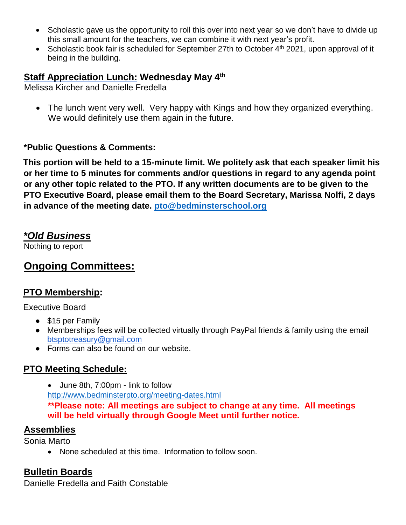- Scholastic gave us the opportunity to roll this over into next year so we don't have to divide up this small amount for the teachers, we can combine it with next year's profit.
- Scholastic book fair is scheduled for September 27th to October  $4<sup>th</sup>$  2021, upon approval of it being in the building.

### **Staff Appreciation Lunch: Wednesday May 4th**

Melissa Kircher and Danielle Fredella

 The lunch went very well. Very happy with Kings and how they organized everything. We would definitely use them again in the future.

#### **\*Public Questions & Comments:**

**This portion will be held to a 15-minute limit. We politely ask that each speaker limit his or her time to 5 minutes for comments and/or questions in regard to any agenda point or any other topic related to the PTO. If any written documents are to be given to the PTO Executive Board, please email them to the Board Secretary, Marissa Nolfi, 2 days in advance of the meeting date. [pto@bedminsterschool.org](mailto:pto@bedminsterschool.org)**

# *\*Old Business*

Nothing to report

# **Ongoing Committees:**

# **PTO Membership:**

Executive Board

- \$15 per Family
- Memberships fees will be collected virtually through PayPal friends & family using the email btsptotreasury@gmail.com
- Forms can also be found on our website.

# **PTO Meeting Schedule:**

 June 8th, 7:00pm - link to follow <http://www.bedminsterpto.org/meeting-dates.html> **\*\*Please note: All meetings are subject to change at any time. All meetings will be held virtually through Google Meet until further notice.** 

### **Assemblies**

Sonia Marto

None scheduled at this time. Information to follow soon.

# **Bulletin Boards**

Danielle Fredella and Faith Constable